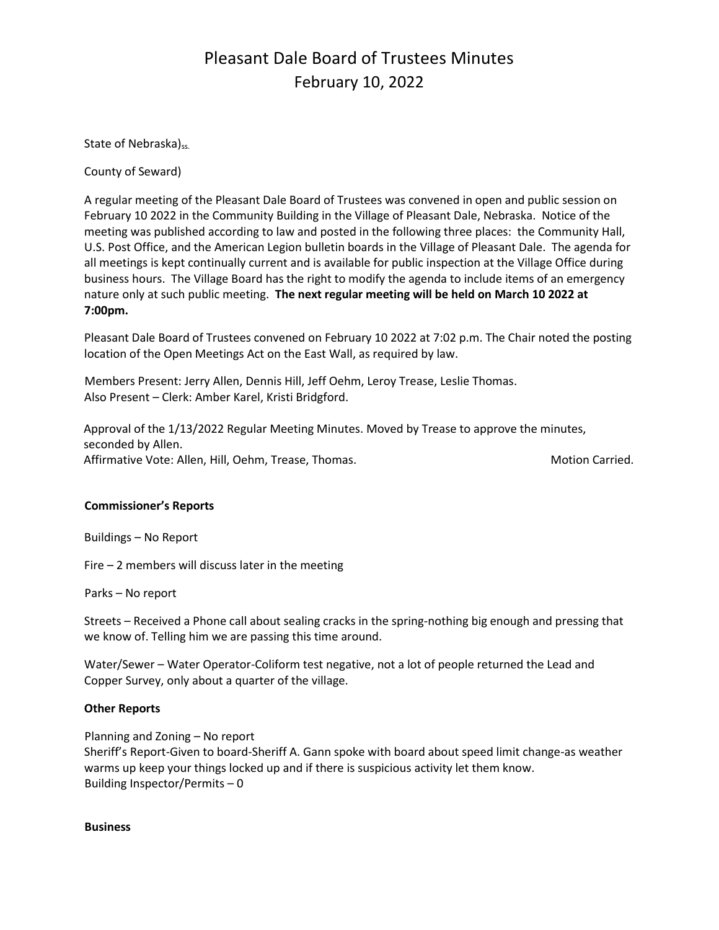## Pleasant Dale Board of Trustees Minutes February 10, 2022

State of Nebraska)<sub>ss.</sub>

County of Seward)

A regular meeting of the Pleasant Dale Board of Trustees was convened in open and public session on February 10 2022 in the Community Building in the Village of Pleasant Dale, Nebraska. Notice of the meeting was published according to law and posted in the following three places: the Community Hall, U.S. Post Office, and the American Legion bulletin boards in the Village of Pleasant Dale. The agenda for all meetings is kept continually current and is available for public inspection at the Village Office during business hours. The Village Board has the right to modify the agenda to include items of an emergency nature only at such public meeting. **The next regular meeting will be held on March 10 2022 at 7:00pm.** 

Pleasant Dale Board of Trustees convened on February 10 2022 at 7:02 p.m. The Chair noted the posting location of the Open Meetings Act on the East Wall, as required by law.

Members Present: Jerry Allen, Dennis Hill, Jeff Oehm, Leroy Trease, Leslie Thomas. Also Present – Clerk: Amber Karel, Kristi Bridgford.

Approval of the 1/13/2022 Regular Meeting Minutes. Moved by Trease to approve the minutes, seconded by Allen. Affirmative Vote: Allen, Hill, Oehm, Trease, Thomas. Motion Carried. Motion Carried.

#### **Commissioner's Reports**

Buildings – No Report

Fire – 2 members will discuss later in the meeting

Parks – No report

Streets – Received a Phone call about sealing cracks in the spring-nothing big enough and pressing that we know of. Telling him we are passing this time around.

Water/Sewer – Water Operator-Coliform test negative, not a lot of people returned the Lead and Copper Survey, only about a quarter of the village.

#### **Other Reports**

Planning and Zoning – No report Sheriff's Report-Given to board-Sheriff A. Gann spoke with board about speed limit change-as weather warms up keep your things locked up and if there is suspicious activity let them know. Building Inspector/Permits – 0

#### **Business**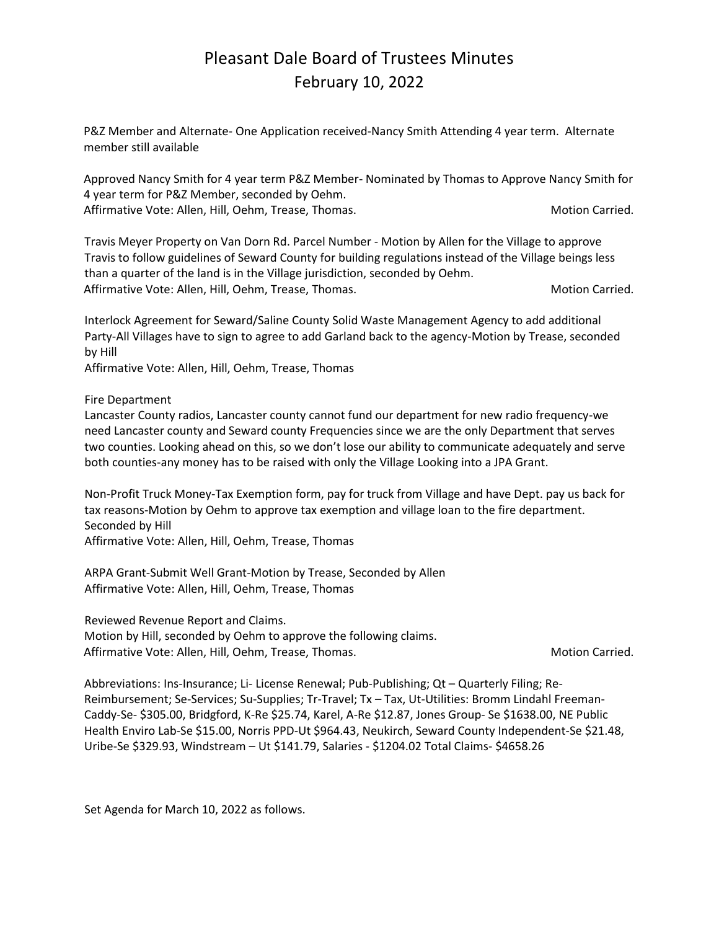### Pleasant Dale Board of Trustees Minutes February 10, 2022

P&Z Member and Alternate- One Application received-Nancy Smith Attending 4 year term. Alternate member still available

Approved Nancy Smith for 4 year term P&Z Member- Nominated by Thomas to Approve Nancy Smith for 4 year term for P&Z Member, seconded by Oehm. Affirmative Vote: Allen, Hill, Oehm, Trease, Thomas. Motion Carried. Motion Carried.

Travis Meyer Property on Van Dorn Rd. Parcel Number - Motion by Allen for the Village to approve Travis to follow guidelines of Seward County for building regulations instead of the Village beings less than a quarter of the land is in the Village jurisdiction, seconded by Oehm. Affirmative Vote: Allen, Hill, Oehm, Trease, Thomas. Motion Carried. Motion Carried.

Interlock Agreement for Seward/Saline County Solid Waste Management Agency to add additional Party-All Villages have to sign to agree to add Garland back to the agency-Motion by Trease, seconded by Hill

Affirmative Vote: Allen, Hill, Oehm, Trease, Thomas

Fire Department

Lancaster County radios, Lancaster county cannot fund our department for new radio frequency-we need Lancaster county and Seward county Frequencies since we are the only Department that serves two counties. Looking ahead on this, so we don't lose our ability to communicate adequately and serve both counties-any money has to be raised with only the Village Looking into a JPA Grant.

Non-Profit Truck Money-Tax Exemption form, pay for truck from Village and have Dept. pay us back for tax reasons-Motion by Oehm to approve tax exemption and village loan to the fire department. Seconded by Hill

Affirmative Vote: Allen, Hill, Oehm, Trease, Thomas

ARPA Grant-Submit Well Grant-Motion by Trease, Seconded by Allen Affirmative Vote: Allen, Hill, Oehm, Trease, Thomas

Reviewed Revenue Report and Claims.

Motion by Hill, seconded by Oehm to approve the following claims. Affirmative Vote: Allen, Hill, Oehm, Trease, Thomas. Motion Carried. Motion Carried.

Abbreviations: Ins-Insurance; Li- License Renewal; Pub-Publishing; Qt – Quarterly Filing; Re-Reimbursement; Se-Services; Su-Supplies; Tr-Travel; Tx – Tax, Ut-Utilities: Bromm Lindahl Freeman-Caddy-Se- \$305.00, Bridgford, K-Re \$25.74, Karel, A-Re \$12.87, Jones Group- Se \$1638.00, NE Public Health Enviro Lab-Se \$15.00, Norris PPD-Ut \$964.43, Neukirch, Seward County Independent-Se \$21.48, Uribe-Se \$329.93, Windstream – Ut \$141.79, Salaries - \$1204.02 Total Claims- \$4658.26

Set Agenda for March 10, 2022 as follows.